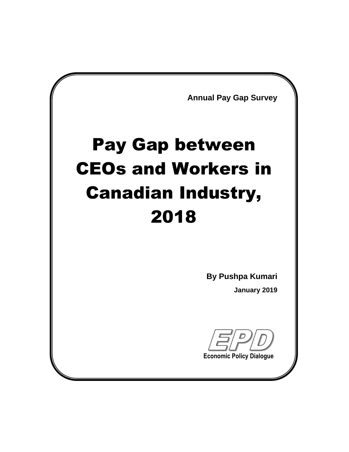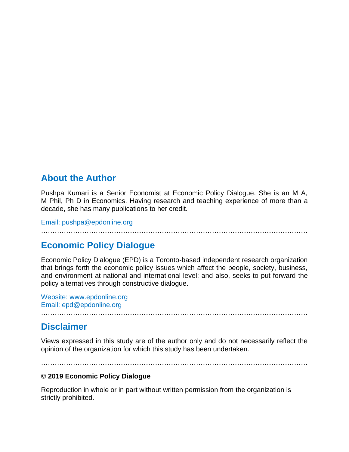#### **About the Author**

Pushpa Kumari is a Senior Economist at Economic Policy Dialogue. She is an M A, M Phil, Ph D in Economics. Having research and teaching experience of more than a decade, she has many publications to her credit.

Email: pushpa@epdonline.org

………………………………………………………………………………………………………

#### **Economic Policy Dialogue**

Economic Policy Dialogue (EPD) is a Toronto-based independent research organization that brings forth the economic policy issues which affect the people, society, business, and environment at national and international level; and also, seeks to put forward the policy alternatives through constructive dialogue.

Website: www.epdonline.org Email: epd@epdonline.org

#### **Disclaimer**

………………………………………………………………………………………………………

Views expressed in this study are of the author only and do not necessarily reflect the opinion of the organization for which this study has been undertaken.

………………………………………………………………………………………………………

#### **© 2019 Economic Policy Dialogue**

Reproduction in whole or in part without written permission from the organization is strictly prohibited.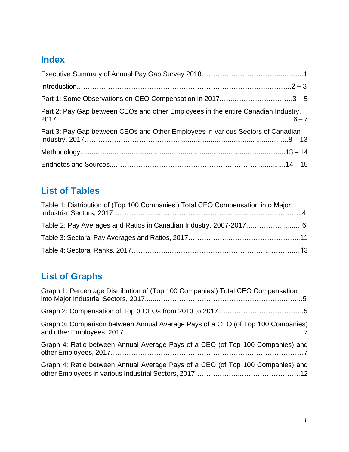# **Index**

| Part 1: Some Observations on CEO Compensation in 20173 - 5                        |  |
|-----------------------------------------------------------------------------------|--|
| Part 2: Pay Gap between CEOs and other Employees in the entire Canadian Industry, |  |
| Part 3: Pay Gap between CEOs and Other Employees in various Sectors of Canadian   |  |
|                                                                                   |  |
|                                                                                   |  |

# **List of Tables**

| Table 1: Distribution of (Top 100 Companies') Total CEO Compensation into Major |  |
|---------------------------------------------------------------------------------|--|
|                                                                                 |  |
|                                                                                 |  |
|                                                                                 |  |

# **List of Graphs**

| Graph 1: Percentage Distribution of (Top 100 Companies') Total CEO Compensation |
|---------------------------------------------------------------------------------|
|                                                                                 |
| Graph 3: Comparison between Annual Average Pays of a CEO (of Top 100 Companies) |
| Graph 4: Ratio between Annual Average Pays of a CEO (of Top 100 Companies) and  |
| Graph 4: Ratio between Annual Average Pays of a CEO (of Top 100 Companies) and  |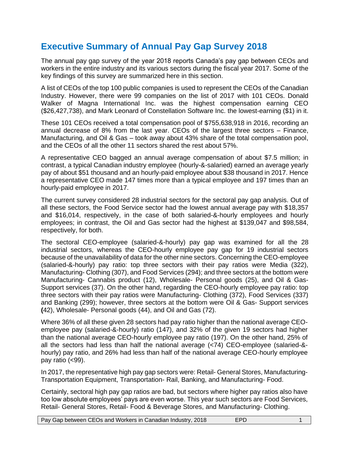#### **Executive Summary of Annual Pay Gap Survey 2018**

The annual pay gap survey of the year 2018 reports Canada's pay gap between CEOs and workers in the entire industry and its various sectors during the fiscal year 2017. Some of the key findings of this survey are summarized here in this section.

A list of CEOs of the top 100 public companies is used to represent the CEOs of the Canadian Industry. However, there were 99 companies on the list of 2017 with 101 CEOs. Donald Walker of Magna International Inc. was the highest compensation earning CEO (\$26,427,738), and Mark Leonard of Constellation Software Inc. the lowest-earning (\$1) in it.

These 101 CEOs received a total compensation pool of \$755,638,918 in 2016, recording an annual decrease of 8% from the last year. CEOs of the largest three sectors – Finance, Manufacturing, and Oil & Gas – took away about 43% share of the total compensation pool, and the CEOs of all the other 11 sectors shared the rest about 57%.

A representative CEO bagged an annual average compensation of about \$7.5 million; in contrast, a typical Canadian industry employee (hourly-&-salaried) earned an average yearly pay of about \$51 thousand and an hourly-paid employee about \$38 thousand in 2017. Hence a representative CEO made 147 times more than a typical employee and 197 times than an hourly-paid employee in 2017.

The current survey considered 28 industrial sectors for the sectoral pay gap analysis. Out of all these sectors, the Food Service sector had the lowest annual average pay with \$18,357 and \$16,014, respectively, in the case of both salaried-&-hourly employees and hourly employees; in contrast, the Oil and Gas sector had the highest at \$139,047 and \$98,584, respectively, for both.

The sectoral CEO-employee (salaried-&-hourly) pay gap was examined for all the 28 industrial sectors, whereas the CEO-hourly employee pay gap for 19 industrial sectors because of the unavailability of data for the other nine sectors. Concerning the CEO-employee (salaried-&-hourly) pay ratio: top three sectors with their pay ratios were Media (322), Manufacturing- Clothing (307), and Food Services (294); and three sectors at the bottom were Manufacturing- Cannabis product (12), Wholesale- Personal goods (25), and Oil & Gas-Support services (37). On the other hand, regarding the CEO-hourly employee pay ratio: top three sectors with their pay ratios were Manufacturing- Clothing (372), Food Services (337) and Banking (299); however, three sectors at the bottom were Oil & Gas- Support services **(**42), Wholesale- Personal goods (44), and Oil and Gas (72).

Where 36% of all these given 28 sectors had pay ratio higher than the national average CEOemployee pay (salaried-&-hourly) ratio (147), and 32% of the given 19 sectors had higher than the national average CEO-hourly employee pay ratio (197). On the other hand, 25% of all the sectors had less than half the national average (<74) CEO-employee (salaried-& hourly) pay ratio, and 26% had less than half of the national average CEO-hourly employee pay ratio (<99).

In 2017, the representative high pay gap sectors were: Retail- General Stores, Manufacturing-Transportation Equipment, Transportation- Rail, Banking, and Manufacturing- Food.

Certainly, sectoral high pay gap ratios are bad, but sectors where higher pay ratios also have too low absolute employees' pays are even worse. This year such sectors are Food Services, Retail- General Stores, Retail- Food & Beverage Stores, and Manufacturing- Clothing.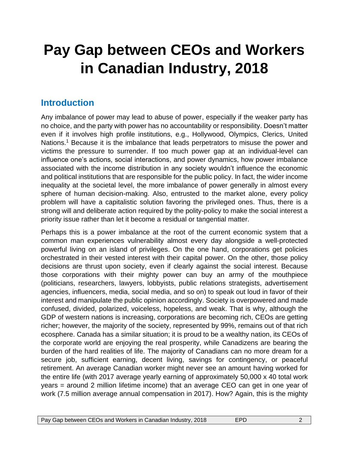# **Pay Gap between CEOs and Workers in Canadian Industry, 2018**

#### **Introduction**

Any imbalance of power may lead to abuse of power, especially if the weaker party has no choice, and the party with power has no accountability or responsibility. Doesn't matter even if it involves high profile institutions, e.g., Hollywood, Olympics, Clerics, United Nations.<sup>1</sup> Because it is the imbalance that leads perpetrators to misuse the power and victims the pressure to surrender. If too much power gap at an individual-level can influence one's actions, social interactions, and power dynamics, how power imbalance associated with the income distribution in any society wouldn't influence the economic and political institutions that are responsible for the public policy. In fact, the wider income inequality at the societal level, the more imbalance of power generally in almost every sphere of human decision-making. Also, entrusted to the market alone, every policy problem will have a capitalistic solution favoring the privileged ones. Thus, there is a strong will and deliberate action required by the polity-policy to make the social interest a priority issue rather than let it become a residual or tangential matter.

Perhaps this is a power imbalance at the root of the current economic system that a common man experiences vulnerability almost every day alongside a well-protected powerful living on an island of privileges. On the one hand, corporations get policies orchestrated in their vested interest with their capital power. On the other, those policy decisions are thrust upon society, even if clearly against the social interest. Because those corporations with their mighty power can buy an army of the mouthpiece (politicians, researchers, lawyers, lobbyists, public relations strategists, advertisement agencies, influencers, media, social media, and so on) to speak out loud in favor of their interest and manipulate the public opinion accordingly. Society is overpowered and made confused, divided, polarized, voiceless, hopeless, and weak. That is why, although the GDP of western nations is increasing, corporations are becoming rich, CEOs are getting richer; however, the majority of the society, represented by 99%, remains out of that rich ecosphere. Canada has a similar situation; it is proud to be a wealthy nation, its CEOs of the corporate world are enjoying the real prosperity, while Canadizens are bearing the burden of the hard realities of life. The majority of Canadians can no more dream for a secure job, sufficient earning, decent living, savings for contingency, or peaceful retirement. An average Canadian worker might never see an amount having worked for the entire life (with 2017 average yearly earning of approximately 50,000 x 40 total work years = around 2 million lifetime income) that an average CEO can get in one year of work (7.5 million average annual compensation in 2017). How? Again, this is the mighty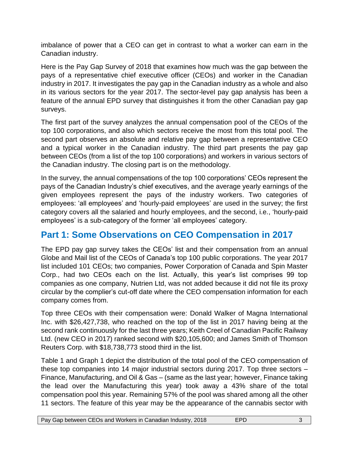imbalance of power that a CEO can get in contrast to what a worker can earn in the Canadian industry.

Here is the Pay Gap Survey of 2018 that examines how much was the gap between the pays of a representative chief executive officer (CEOs) and worker in the Canadian industry in 2017. It investigates the pay gap in the Canadian industry as a whole and also in its various sectors for the year 2017. The sector-level pay gap analysis has been a feature of the annual EPD survey that distinguishes it from the other Canadian pay gap surveys.

The first part of the survey analyzes the annual compensation pool of the CEOs of the top 100 corporations, and also which sectors receive the most from this total pool. The second part observes an absolute and relative pay gap between a representative CEO and a typical worker in the Canadian industry. The third part presents the pay gap between CEOs (from a list of the top 100 corporations) and workers in various sectors of the Canadian industry. The closing part is on the methodology.

In the survey, the annual compensations of the top 100 corporations' CEOs represent the pays of the Canadian Industry's chief executives, and the average yearly earnings of the given employees represent the pays of the industry workers. Two categories of employees: 'all employees' and 'hourly-paid employees' are used in the survey; the first category covers all the salaried and hourly employees, and the second, i.e., 'hourly-paid employees' is a sub-category of the former 'all employees' category.

## **Part 1: Some Observations on CEO Compensation in 2017**

The EPD pay gap survey takes the CEOs' list and their compensation from an annual Globe and Mail list of the CEOs of Canada's top 100 public corporations. The year 2017 list included 101 CEOs; two companies, Power Corporation of Canada and Spin Master Corp., had two CEOs each on the list. Actually, this year's list comprises 99 top companies as one company, Nutrien Ltd, was not added because it did not file its proxy circular by the complier's cut-off date where the CEO compensation information for each company comes from.

Top three CEOs with their compensation were: Donald Walker of Magna International Inc. with \$26,427,738, who reached on the top of the list in 2017 having being at the second rank continuously for the last three years; Keith Creel of Canadian Pacific Railway Ltd. (new CEO in 2017) ranked second with \$20,105,600; and James Smith of Thomson Reuters Corp. with \$18,738,773 stood third in the list.

Table 1 and Graph 1 depict the distribution of the total pool of the CEO compensation of these top companies into 14 major industrial sectors during 2017. Top three sectors – Finance, Manufacturing, and Oil & Gas – (same as the last year; however, Finance taking the lead over the Manufacturing this year) took away a 43% share of the total compensation pool this year. Remaining 57% of the pool was shared among all the other 11 sectors. The feature of this year may be the appearance of the cannabis sector with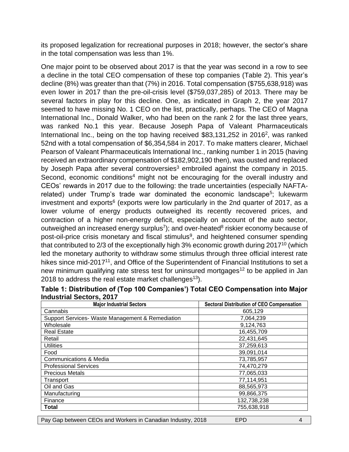its proposed legalization for recreational purposes in 2018; however, the sector's share in the total compensation was less than 1%.

One major point to be observed about 2017 is that the year was second in a row to see a decline in the total CEO compensation of these top companies (Table 2). This year's decline (8%) was greater than that (7%) in 2016. Total compensation (\$755,638,918) was even lower in 2017 than the pre-oil-crisis level (\$759,037,285) of 2013. There may be several factors in play for this decline. One, as indicated in Graph 2, the year 2017 seemed to have missing No. 1 CEO on the list, practically, perhaps. The CEO of Magna International Inc., Donald Walker, who had been on the rank 2 for the last three years, was ranked No.1 this year. Because Joseph Papa of Valeant Pharmaceuticals International Inc., being on the top having received \$83,131,252 in 2016<sup>2</sup>, was ranked 52nd with a total compensation of \$6,354,584 in 2017. To make matters clearer, Michael Pearson of Valeant Pharmaceuticals International Inc., ranking number 1 in 2015 (having received an extraordinary compensation of \$182,902,190 then), was ousted and replaced by Joseph Papa after several controversies<sup>3</sup> embroiled against the company in 2015. Second, economic conditions<sup>4</sup> might not be encouraging for the overall industry and CEOs' rewards in 2017 due to the following: the trade uncertainties (especially NAFTArelated) under Trump's trade war dominated the economic landscape<sup>5</sup>; lukewarm investment and exports $6$  (exports were low particularly in the 2nd quarter of 2017, as a lower volume of energy products outweighed its recently recovered prices, and contraction of a higher non-energy deficit, especially on account of the auto sector, outweighed an increased energy surplus<sup>7</sup>); and over-heated<sup>8</sup> riskier economy because of post-oil-price crisis monetary and fiscal stimulus<sup>9</sup>, and heightened consumer spending that contributed to 2/3 of the exceptionally high 3% economic growth during 2017<sup>10</sup> (which led the monetary authority to withdraw some stimulus through three official interest rate hikes since mid-2017<sup>11</sup>, and Office of the Superintendent of Financial Institutions to set a new minimum qualifying rate stress test for uninsured mortgages<sup>12</sup> to be applied in Jan 2018 to address the real estate market challenges<sup>13</sup>).

| <b>Major Industrial Sectors</b>                  | <b>Sectoral Distribution of CEO Compensation</b> |
|--------------------------------------------------|--------------------------------------------------|
| Cannabis                                         | 605.129                                          |
| Support Services- Waste Management & Remediation | 7,064,239                                        |
| Wholesale                                        | 9,124,763                                        |
| <b>Real Estate</b>                               | 16,455,709                                       |
| Retail                                           | 22,431,645                                       |
| <b>Utilities</b>                                 | 37,259,613                                       |
| Food                                             | 39,091,014                                       |
| Communications & Media                           | 73,785,957                                       |
| <b>Professional Services</b>                     | 74,470,279                                       |
| <b>Precious Metals</b>                           | 77,065,033                                       |
| Transport                                        | 77,114,951                                       |
| Oil and Gas                                      | 88,565,973                                       |
| Manufacturing                                    | 99,866,375                                       |
| Finance                                          | 132,738,238                                      |
| <b>Total</b>                                     | 755,638,918                                      |

| Table 1: Distribution of (Top 100 Companies') Total CEO Compensation into Major |  |  |
|---------------------------------------------------------------------------------|--|--|
| <b>Industrial Sectors, 2017</b>                                                 |  |  |

| Pay Gap between CEOs and Workers in Canadian Industry, 2018 | EPD. |  |
|-------------------------------------------------------------|------|--|
|-------------------------------------------------------------|------|--|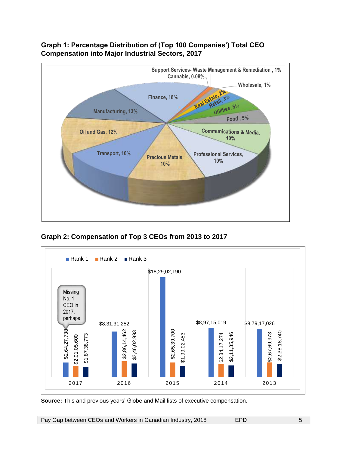

**Graph 1: Percentage Distribution of (Top 100 Companies') Total CEO Compensation into Major Industrial Sectors, 2017**

**Graph 2: Compensation of Top 3 CEOs from 2013 to 2017**



**Source:** This and previous years' Globe and Mail lists of executive compensation.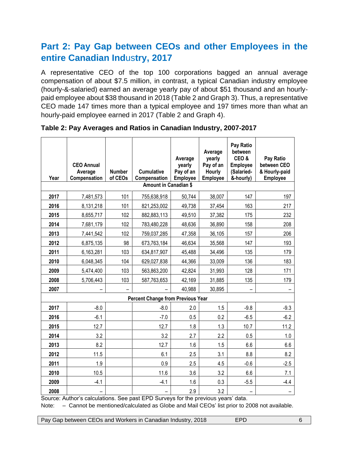## **Part 2: Pay Gap between CEOs and other Employees in the entire Canadian Ind**us**try, 2017**

A representative CEO of the top 100 corporations bagged an annual average compensation of about \$7.5 million, in contrast, a typical Canadian industry employee (hourly-&-salaried) earned an average yearly pay of about \$51 thousand and an hourlypaid employee about \$38 thousand in 2018 (Table 2 and Graph 3). Thus, a representative CEO made 147 times more than a typical employee and 197 times more than what an hourly-paid employee earned in 2017 (Table 2 and Graph 4).

| Year | <b>CEO Annual</b><br>Average<br>Compensation | <b>Number</b><br>of CEOs | <b>Cumulative</b><br>Compensation        | Average<br>yearly<br>Pay of an<br><b>Employee</b> | Average<br>yearly<br>Pay of an<br><b>Hourly</b><br><b>Employee</b> | Pay Ratio<br>between<br>CEO&<br><b>Employee</b><br>(Salaried-<br>&-hourly) | Pay Ratio<br>between CEO<br>& Hourly-paid<br><b>Employee</b> |
|------|----------------------------------------------|--------------------------|------------------------------------------|---------------------------------------------------|--------------------------------------------------------------------|----------------------------------------------------------------------------|--------------------------------------------------------------|
|      |                                              |                          | <b>Amount in Canadian \$</b>             |                                                   |                                                                    |                                                                            |                                                              |
| 2017 | 7,481,573                                    | 101                      | 755,638,918                              | 50,744                                            | 38,007                                                             | 147                                                                        | 197                                                          |
| 2016 | 8,131,218                                    | 101                      | 821,253,002                              | 49,738                                            | 37,454                                                             | 163                                                                        | 217                                                          |
| 2015 | 8,655,717                                    | 102                      | 882,883,113                              | 49,510                                            | 37,382                                                             | 175                                                                        | 232                                                          |
| 2014 | 7,681,179                                    | 102                      | 783,480,228                              | 48,636                                            | 36,890                                                             | 158                                                                        | 208                                                          |
| 2013 | 7,441,542                                    | 102                      | 759,037,285                              | 47,358                                            | 36,105                                                             | 157                                                                        | 206                                                          |
| 2012 | 6,875,135                                    | 98                       | 673,763,184                              | 46,634                                            | 35,568                                                             | 147                                                                        | 193                                                          |
| 2011 | 6,163,281                                    | 103                      | 634,817,907                              | 45,488                                            | 34,496                                                             | 135                                                                        | 179                                                          |
| 2010 | 6,048,345                                    | 104                      | 629,027,838                              | 44,366                                            | 33,009                                                             | 136                                                                        | 183                                                          |
| 2009 | 5,474,400                                    | 103                      | 563,863,200                              | 42,824                                            | 31,993                                                             | 128                                                                        | 171                                                          |
| 2008 | 5,706,443                                    | 103                      | 587,763,653                              | 42,169                                            | 31,885                                                             | 135                                                                        | 179                                                          |
| 2007 |                                              |                          |                                          | 40,988                                            | 30,895                                                             |                                                                            |                                                              |
|      |                                              |                          | <b>Percent Change from Previous Year</b> |                                                   |                                                                    |                                                                            |                                                              |
| 2017 | $-8.0$                                       |                          | $-8.0$                                   | 2.0                                               | 1.5                                                                | $-9.8$                                                                     | $-9.3$                                                       |
| 2016 | $-6.1$                                       |                          | $-7.0$                                   | 0.5                                               | 0.2                                                                | $-6.5$                                                                     | $-6.2$                                                       |
| 2015 | 12.7                                         |                          | 12.7                                     | 1.8                                               | 1.3                                                                | 10.7                                                                       | 11.2                                                         |
| 2014 | 3.2                                          |                          | 3.2                                      | 2.7                                               | 2.2                                                                | 0.5                                                                        | 1.0                                                          |
| 2013 | 8.2                                          |                          | 12.7                                     | 1.6                                               | 1.5                                                                | 6.6                                                                        | 6.6                                                          |
| 2012 | 11.5                                         |                          | 6.1                                      | 2.5                                               | 3.1                                                                | 8.8                                                                        | 8.2                                                          |
| 2011 | 1.9                                          |                          | 0.9                                      | 2.5                                               | 4.5                                                                | $-0.6$                                                                     | $-2.5$                                                       |
| 2010 | 10.5                                         |                          | 11.6                                     | 3.6                                               | 3.2                                                                | 6.6                                                                        | 7.1                                                          |
| 2009 | $-4.1$                                       |                          | $-4.1$                                   | 1.6                                               | 0.3                                                                | $-5.5$                                                                     | $-4.4$                                                       |
| 2008 |                                              |                          |                                          | 2.9                                               | 3.2                                                                |                                                                            |                                                              |

**Table 2: Pay Averages and Ratios in Canadian Industry, 2007-2017**

Source: Author's calculations. See past EPD Surveys for the previous years' data. Note: - Cannot be mentioned/calculated as Globe and Mail CEOs' list prior to 2008 not available.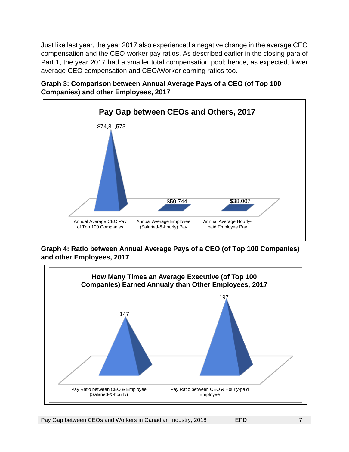Just like last year, the year 2017 also experienced a negative change in the average CEO compensation and the CEO-worker pay ratios. As described earlier in the closing para of Part 1, the year 2017 had a smaller total compensation pool; hence, as expected, lower average CEO compensation and CEO/Worker earning ratios too.





**Graph 4: Ratio between Annual Average Pays of a CEO (of Top 100 Companies) and other Employees, 2017**

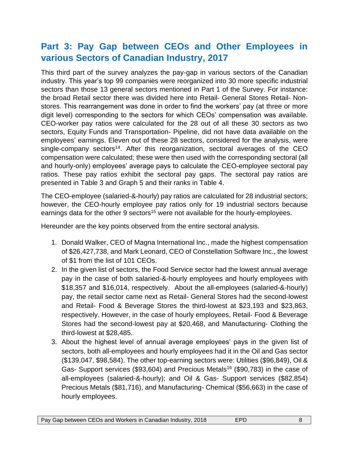## **Part 3: Pay Gap between CEOs and Other Employees in various Sectors of Canadian Industry, 2017**

This third part of the survey analyzes the pay-gap in various sectors of the Canadian industry. This year's top 99 companies were reorganized into 30 more specific industrial sectors than those 13 general sectors mentioned in Part 1 of the Survey. For instance: the broad Retail sector there was divided here into Retail- General Stores Retail- Nonstores. This rearrangement was done in order to find the workers' pay (at three or more digit level) corresponding to the sectors for which CEOs' compensation was available. CEO-worker pay ratios were calculated for the 28 out of all these 30 sectors as two sectors, Equity Funds and Transportation- Pipeline, did not have data available on the employees' earnings. Eleven out of these 28 sectors, considered for the analysis, were single-company sectors<sup>14</sup>. After this reorganization, sectoral averages of the CEO compensation were calculated; these were then used with the corresponding sectoral (all and hourly-only) employees' average pays to calculate the CEO-employee sectoral pay ratios. These pay ratios exhibit the sectoral pay gaps. The sectoral pay ratios are presented in Table 3 and Graph 5 and their ranks in Table 4.

The CEO-employee (salaried-&-hourly) pay ratios are calculated for 28 industrial sectors; however, the CEO-hourly employee pay ratios only for 19 industrial sectors because earnings data for the other 9 sectors<sup>15</sup> were not available for the hourly-employees.

Hereunder are the key points observed from the entire sectoral analysis.

- 1. Donald Walker, CEO of Magna International Inc., made the highest compensation of \$26,427,738, and Mark Leonard, CEO of Constellation Software Inc., the lowest of \$1 from the list of 101 CEOs.
- 2. In the given list of sectors, the Food Service sector had the lowest annual average pay in the case of both salaried-&-hourly employees and hourly employees with \$18,357 and \$16,014, respectively. About the all-employees (salaried-&-hourly) pay, the retail sector came next as Retail- General Stores had the second-lowest and Retail- Food & Beverage Stores the third-lowest at \$23,193 and \$23,863, respectively. However, in the case of hourly employees, Retail- Food & Beverage Stores had the second-lowest pay at \$20,468, and Manufacturing- Clothing the third-lowest at \$28,485.
- 3. About the highest level of annual average employees' pays in the given list of sectors, both all-employees and hourly employees had it in the Oil and Gas sector (\$139,047, \$98,584). The other top-earning sectors were: Utilities (\$96,849), Oil & Gas- Support services (\$93,604) and Precious Metals<sup>16</sup> (\$90,783) in the case of all-employees (salaried-&-hourly); and Oil & Gas- Support services (\$82,854) Precious Metals (\$81,716), and Manufacturing- Chemical (\$56,663) in the case of hourly employees.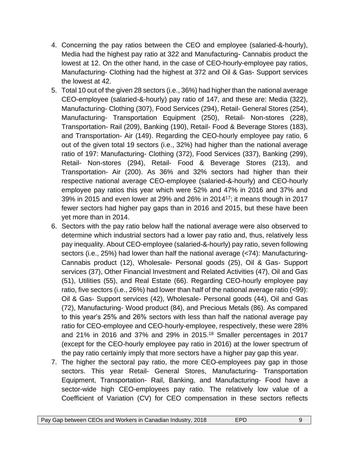- 4. Concerning the pay ratios between the CEO and employee (salaried-&-hourly), Media had the highest pay ratio at 322 and Manufacturing- Cannabis product the lowest at 12. On the other hand, in the case of CEO-hourly-employee pay ratios, Manufacturing- Clothing had the highest at 372 and Oil & Gas- Support services the lowest at 42.
- 5. Total 10 out of the given 28 sectors (i.e., 36%) had higher than the national average CEO-employee (salaried-&-hourly) pay ratio of 147, and these are: Media (322), Manufacturing- Clothing (307), Food Services (294), Retail- General Stores (254), Manufacturing- Transportation Equipment (250), Retail- Non-stores (228), Transportation- Rail (209), Banking (190), Retail- Food & Beverage Stores (183), and Transportation- Air (149). Regarding the CEO-hourly employee pay ratio, 6 out of the given total 19 sectors (i.e., 32%) had higher than the national average ratio of 197: Manufacturing- Clothing (372), Food Services (337), Banking (299), Retail- Non-stores (294), Retail- Food & Beverage Stores (213), and Transportation- Air (200). As 36% and 32% sectors had higher than their respective national average CEO-employee (salaried-&-hourly) and CEO-hourly employee pay ratios this year which were 52% and 47% in 2016 and 37% and 39% in 2015 and even lower at 29% and 26% in 2014<sup>17</sup>; it means though in 2017 fewer sectors had higher pay gaps than in 2016 and 2015, but these have been yet more than in 2014.
- 6. Sectors with the pay ratio below half the national average were also observed to determine which industrial sectors had a lower pay ratio and, thus, relatively less pay inequality. About CEO-employee (salaried-&-hourly) pay ratio, seven following sectors (i.e., 25%) had lower than half the national average (<74): Manufacturing-Cannabis product (12), Wholesale- Personal goods (25), Oil & Gas- Support services (37), Other Financial Investment and Related Activities (47), Oil and Gas (51), Utilities (55), and Real Estate (66). Regarding CEO-hourly employee pay ratio, five sectors (i.e., 26%) had lower than half of the national average ratio (<99): Oil & Gas- Support services (42), Wholesale- Personal goods (44), Oil and Gas (72), Manufacturing- Wood product (84), and Precious Metals (86). As compared to this year's 25% and 26% sectors with less than half the national average pay ratio for CEO-employee and CEO-hourly-employee, respectively, these were 28% and 21% in 2016 and 37% and 29% in 2015.<sup>18</sup> Smaller percentages in 2017 (except for the CEO-hourly employee pay ratio in 2016) at the lower spectrum of the pay ratio certainly imply that more sectors have a higher pay gap this year.
- 7. The higher the sectoral pay ratio, the more CEO-employees pay gap in those sectors. This year Retail- General Stores, Manufacturing- Transportation Equipment, Transportation- Rail, Banking, and Manufacturing- Food have a sector-wide high CEO-employees pay ratio. The relatively low value of a Coefficient of Variation (CV) for CEO compensation in these sectors reflects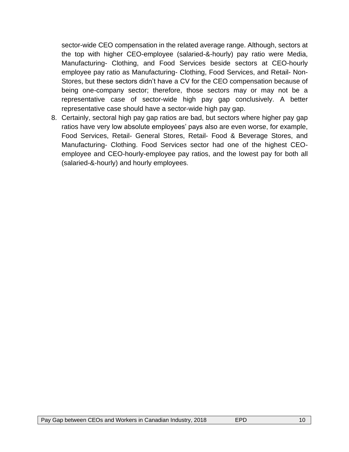sector-wide CEO compensation in the related average range. Although, sectors at the top with higher CEO-employee (salaried-&-hourly) pay ratio were Media, Manufacturing- Clothing, and Food Services beside sectors at CEO-hourly employee pay ratio as Manufacturing- Clothing, Food Services, and Retail- Non-Stores, but these sectors didn't have a CV for the CEO compensation because of being one-company sector; therefore, those sectors may or may not be a representative case of sector-wide high pay gap conclusively. A better representative case should have a sector-wide high pay gap.

8. Certainly, sectoral high pay gap ratios are bad, but sectors where higher pay gap ratios have very low absolute employees' pays also are even worse, for example, Food Services, Retail- General Stores, Retail- Food & Beverage Stores, and Manufacturing- Clothing. Food Services sector had one of the highest CEOemployee and CEO-hourly-employee pay ratios, and the lowest pay for both all (salaried-&-hourly) and hourly employees.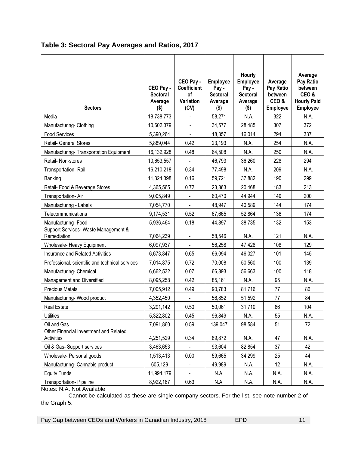| <b>Sectors</b>                                       | CEO Pay -<br><b>Sectoral</b><br>Average<br>$($ \$) | CEO Pay -<br><b>Coefficient</b><br>of<br>Variation<br>(CV) | <b>Employee</b><br>Pay -<br><b>Sectoral</b><br>Average<br>$($ \$) | Hourly<br>Employee<br>Pay -<br><b>Sectoral</b><br>Average<br>$($ \$) | Average<br>Pay Ratio<br>between<br>CEO&<br><b>Employee</b> | Average<br>Pay Ratio<br>between<br>CEO&<br><b>Hourly Paid</b><br><b>Employee</b> |
|------------------------------------------------------|----------------------------------------------------|------------------------------------------------------------|-------------------------------------------------------------------|----------------------------------------------------------------------|------------------------------------------------------------|----------------------------------------------------------------------------------|
| Media                                                | 18,738,773                                         | $\blacksquare$                                             | 58,271                                                            | N.A.                                                                 | 322                                                        | N.A.                                                                             |
| Manufacturing- Clothing                              | 10,602,379                                         | $\blacksquare$                                             | 34,577                                                            | 28,485                                                               | 307                                                        | 372                                                                              |
| <b>Food Services</b>                                 | 5,390,264                                          | $\blacksquare$                                             | 18,357                                                            | 16,014                                                               | 294                                                        | 337                                                                              |
| Retail- General Stores                               | 5,889,044                                          | 0.42                                                       | 23,193                                                            | N.A.                                                                 | 254                                                        | N.A.                                                                             |
| Manufacturing- Transportation Equipment              | 16,132,928                                         | 0.48                                                       | 64,508                                                            | N.A.                                                                 | 250                                                        | N.A.                                                                             |
| Retail- Non-stores                                   | 10,653,557                                         |                                                            | 46,793                                                            | 36,260                                                               | 228                                                        | 294                                                                              |
| Transportation-Rail                                  | 16,210,218                                         | 0.34                                                       | 77,498                                                            | N.A.                                                                 | 209                                                        | N.A.                                                                             |
| Banking                                              | 11,324,398                                         | 0.16                                                       | 59,721                                                            | 37,882                                                               | 190                                                        | 299                                                                              |
| Retail- Food & Beverage Stores                       | 4,365,565                                          | 0.72                                                       | 23,863                                                            | 20,468                                                               | 183                                                        | 213                                                                              |
| Transportation- Air                                  | 9,005,849                                          | $\blacksquare$                                             | 60,470                                                            | 44,944                                                               | 149                                                        | 200                                                                              |
| Manufacturing - Labels                               | 7,054,770                                          |                                                            | 48,947                                                            | 40,589                                                               | 144                                                        | 174                                                                              |
| Telecommunications                                   | 9,174,531                                          | 0.52                                                       | 67,665                                                            | 52,864                                                               | 136                                                        | 174                                                                              |
| Manufacturing-Food                                   | 5,936,464                                          | 0.18                                                       | 44,897                                                            | 38,735                                                               | 132                                                        | 153                                                                              |
| Support Services- Waste Management &<br>Remediation  | 7,064,239                                          | $\overline{\phantom{a}}$                                   | 58,546                                                            | N.A.                                                                 | 121                                                        | N.A.                                                                             |
| Wholesale- Heavy Equipment                           | 6,097,937                                          | $\overline{\phantom{a}}$                                   | 56,258                                                            | 47,428                                                               | 108                                                        | 129                                                                              |
| <b>Insurance and Related Activities</b>              | 6,673,847                                          | 0.65                                                       | 66,094                                                            | 46,027                                                               | 101                                                        | 145                                                                              |
| Professional, scientific and technical services      | 7,014,875                                          | 0.72                                                       | 70,008                                                            | 50,560                                                               | 100                                                        | 139                                                                              |
| Manufacturing- Chemical                              | 6,662,532                                          | 0.07                                                       | 66,893                                                            | 56,663                                                               | 100                                                        | 118                                                                              |
| Management and Diversified                           | 8,095,258                                          | 0.42                                                       | 85,161                                                            | N.A.                                                                 | 95                                                         | N.A.                                                                             |
| <b>Precious Metals</b>                               | 7,005,912                                          | 0.49                                                       | 90,783                                                            | 81,716                                                               | 77                                                         | 86                                                                               |
| Manufacturing-Wood product                           | 4,352,450                                          |                                                            | 56,852                                                            | 51,592                                                               | 77                                                         | 84                                                                               |
| <b>Real Estate</b>                                   | 3,291,142                                          | 0.50                                                       | 50,061                                                            | 31,710                                                               | 66                                                         | 104                                                                              |
| <b>Utilities</b>                                     | 5,322,802                                          | 0.45                                                       | 96,849                                                            | N.A.                                                                 | 55                                                         | N.A.                                                                             |
| Oil and Gas                                          | 7,091,860                                          | 0.59                                                       | 139,047                                                           | 98,584                                                               | 51                                                         | 72                                                                               |
| Other Financial Investment and Related<br>Activities | 4,251,529                                          | 0.34                                                       | 89,872                                                            | N.A.                                                                 | 47                                                         | N.A.                                                                             |
| Oil & Gas- Support services                          | 3,463,653                                          | $\blacksquare$                                             | 93,604                                                            | 82,854                                                               | 37                                                         | 42                                                                               |
| Wholesale- Personal goods                            | 1,513,413                                          | 0.00                                                       | 59,665                                                            | 34,299                                                               | 25                                                         | 44                                                                               |
| Manufacturing- Cannabis product                      | 605,129                                            |                                                            | 49,989                                                            | N.A.                                                                 | 12                                                         | N.A.                                                                             |
| <b>Equity Funds</b>                                  | 11,994,179                                         | $\blacksquare$                                             | N.A.                                                              | N.A.                                                                 | N.A.                                                       | N.A.                                                                             |
| Transportation- Pipeline                             | 8,922,167                                          | 0.63                                                       | N.A.                                                              | N.A.                                                                 | N.A.                                                       | N.A.                                                                             |

Notes: N.A. Not Available

– Cannot be calculated as these are single-company sectors. For the list, see note number 2 of the Graph 5.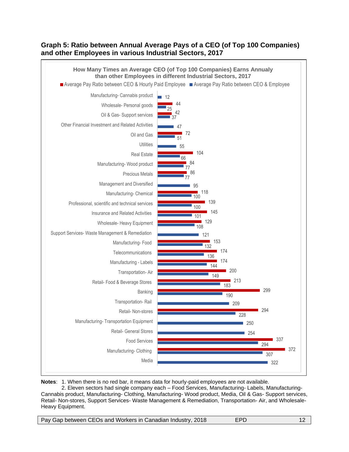#### **Graph 5: Ratio between Annual Average Pays of a CEO (of Top 100 Companies) and other Employees in various Industrial Sectors, 2017**



**Notes**: 1. When there is no red bar, it means data for hourly-paid employees are not available.

2. Eleven sectors had single company each – Food Services, Manufacturing- Labels, Manufacturing-Cannabis product, Manufacturing- Clothing, Manufacturing- Wood product, Media, Oil & Gas- Support services, Retail- Non-stores, Support Services- Waste Management & Remediation, Transportation- Air, and Wholesale-Heavy Equipment.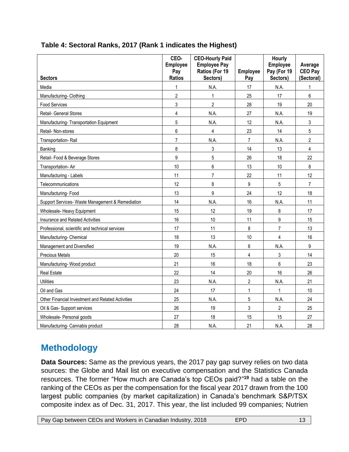| <b>Sectors</b>                                    | CEO-<br><b>Employee</b><br>Pay<br><b>Ratios</b> | <b>CEO-Hourly Paid</b><br><b>Employee Pay</b><br>Ratios (For 19<br>Sectors) | Employee<br>Pay         | Hourly<br>Employee<br>Pay (For 19<br>Sectors) | Average<br><b>CEO Pay</b><br>(Sectoral) |
|---------------------------------------------------|-------------------------------------------------|-----------------------------------------------------------------------------|-------------------------|-----------------------------------------------|-----------------------------------------|
| Media                                             | 1                                               | N.A.                                                                        | 17                      | N.A.                                          | 1                                       |
| Manufacturing-Clothing                            | $\overline{2}$                                  | $\overline{1}$                                                              | 25                      | 17                                            | 6                                       |
| <b>Food Services</b>                              | 3                                               | $\overline{2}$                                                              | 28                      | 19                                            | 20                                      |
| Retail- General Stores                            | $\overline{4}$                                  | N.A.                                                                        | 27                      | N.A.                                          | 19                                      |
| Manufacturing-Transportation Equipment            | 5                                               | N.A.                                                                        | 12                      | N.A.                                          | 3                                       |
| Retail- Non-stores                                | $\,6$                                           | 4                                                                           | 23                      | 14                                            | 5                                       |
| Transportation-Rail                               | $\overline{7}$                                  | N.A.                                                                        | $\overline{7}$          | N.A.                                          | $\overline{2}$                          |
| Banking                                           | 8                                               | 3                                                                           | 14                      | 13                                            | $\overline{4}$                          |
| Retail- Food & Beverage Stores                    | 9                                               | 5                                                                           | 26                      | 18                                            | 22                                      |
| Transportation- Air                               | 10                                              | 6                                                                           | 13                      | $10$                                          | 8                                       |
| Manufacturing - Labels                            | 11                                              | $\overline{7}$                                                              | 22                      | 11                                            | 12                                      |
| Telecommunications                                | 12                                              | 8                                                                           | 9                       | $\overline{5}$                                | $\overline{7}$                          |
| Manufacturing-Food                                | 13                                              | 9                                                                           | 24                      | 12                                            | 18                                      |
| Support Services- Waste Management & Remediation  | 14                                              | N.A.                                                                        | 16                      | N.A.                                          | 11                                      |
| Wholesale- Heavy Equipment                        | 15                                              | 12                                                                          | 19                      | 8                                             | 17                                      |
| Insurance and Related Activities                  | 16                                              | 10                                                                          | 11                      | 9                                             | 15                                      |
| Professional, scientific and technical services   | 17                                              | 11                                                                          | 8                       | $\overline{7}$                                | 13                                      |
| Manufacturing- Chemical                           | 18                                              | 13                                                                          | 10                      | 4                                             | 16                                      |
| Management and Diversified                        | 19                                              | N.A.                                                                        | 6                       | N.A.                                          | 9                                       |
| <b>Precious Metals</b>                            | 20                                              | 15                                                                          | $\overline{\mathbf{4}}$ | 3                                             | 14                                      |
| Manufacturing-Wood product                        | 21                                              | 16                                                                          | 18                      | 6                                             | 23                                      |
| <b>Real Estate</b>                                | 22                                              | 14                                                                          | 20                      | 16                                            | 26                                      |
| <b>Utilities</b>                                  | 23                                              | N.A.                                                                        | $\overline{2}$          | N.A.                                          | 21                                      |
| Oil and Gas                                       | 24                                              | 17                                                                          | $\mathbf{1}$            | $\mathbf 1$                                   | 10                                      |
| Other Financial Investment and Related Activities | 25                                              | N.A.                                                                        | 5                       | N.A.                                          | 24                                      |
| Oil & Gas- Support services                       | 26                                              | 19                                                                          | 3                       | $\overline{2}$                                | 25                                      |
| Wholesale- Personal goods                         | 27                                              | 18                                                                          | 15                      | 15                                            | 27                                      |
| Manufacturing- Cannabis product                   | 28                                              | N.A.                                                                        | 21                      | N.A.                                          | 28                                      |

#### **Table 4: Sectoral Ranks, 2017 (Rank 1 indicates the Highest)**

## **Methodology**

**Data Sources:** Same as the previous years, the 2017 pay gap survey relies on two data sources: the Globe and Mail list on executive compensation and the Statistics Canada resources. The former "How much are Canada's top CEOs paid?" **<sup>19</sup>** had a table on the ranking of the CEOs as per the compensation for the fiscal year 2017 drawn from the 100 largest public companies (by market capitalization) in Canada's benchmark S&P/TSX composite index as of Dec. 31, 2017. This year, the list included 99 companies; Nutrien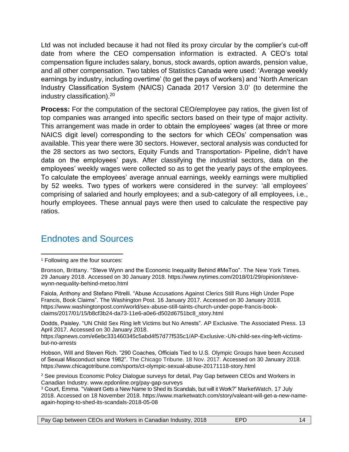Ltd was not included because it had not filed its proxy circular by the complier's cut-off date from where the CEO compensation information is extracted. A CEO's total compensation figure includes salary, bonus, stock awards, option awards, pension value, and all other compensation. Two tables of Statistics Canada were used: 'Average weekly earnings by industry, including overtime' (to get the pays of workers) and 'North American Industry Classification System (NAICS) Canada 2017 Version 3.0' (to determine the industry classification). 20

**Process:** For the computation of the sectoral CEO/employee pay ratios, the given list of top companies was arranged into specific sectors based on their type of major activity. This arrangement was made in order to obtain the employees' wages (at three or more NAICS digit level) corresponding to the sectors for which CEOs' compensation was available. This year there were 30 sectors. However, sectoral analysis was conducted for the 28 sectors as two sectors, Equity Funds and Transportation- Pipeline, didn't have data on the employees' pays. After classifying the industrial sectors, data on the employees' weekly wages were collected so as to get the yearly pays of the employees. To calculate the employees' average annual earnings, weekly earnings were multiplied by 52 weeks. Two types of workers were considered in the survey: 'all employees' comprising of salaried and hourly employees; and a sub-category of all employees, i.e., hourly employees. These annual pays were then used to calculate the respective pay ratios.

#### Endnotes and Sources

Faiola, Anthony and Stefano Pitrelli. "Abuse Accusations Against Clerics Still Runs High Under Pope Francis, Book Claims". The Washington Post. 16 January 2017. Accessed on 30 January 2018. https://www.washingtonpost.com/world/sex-abuse-still-taints-church-under-pope-francis-bookclaims/2017/01/15/b8cf3b24-da73-11e6-a0e6-d502d6751bc8\_story.html

Dodds, Paisley. "UN Child Sex Ring left Victims but No Arrests". AP Exclusive. The Associated Press. 13 April 2017. Accessed on 30 January 2018.

https://apnews.com/e6ebc331460345c5abd4f57d77f535c1/AP-Exclusive:-UN-child-sex-ring-left-victimsbut-no-arrests

Hobson, Will and Steven Rich. "290 Coaches, Officials Tied to U.S. Olympic Groups have been Accused of Sexual Misconduct since 1982". The Chicago Tribune. 18 Nov. 2017. Accessed on 30 January 2018. https://www.chicagotribune.com/sports/ct-olympic-sexual-abuse-20171118-story.html

<sup>2</sup> See previous Economic Policy Dialogue surveys for detail, Pay Gap between CEOs and Workers in Canadian Industry. www.epdonline.org/pay-gap-surveys

<sup>3</sup> Court, Emma. "Valeant Gets a New Name to Shed its Scandals, but will it Work?" MarketWatch. 17 July 2018. Accessed on 18 November 2018. https://www.marketwatch.com/story/valeant-will-get-a-new-nameagain-hoping-to-shed-its-scandals-2018-05-08

<sup>1</sup> Following are the four sources:

Bronson, Brittany. "Steve Wynn and the Economic Inequality Behind #MeToo". The New York Times. 29 January 2018. Accessed on 30 January 2018. https://www.nytimes.com/2018/01/29/opinion/stevewynn-nequality-behind-metoo.html